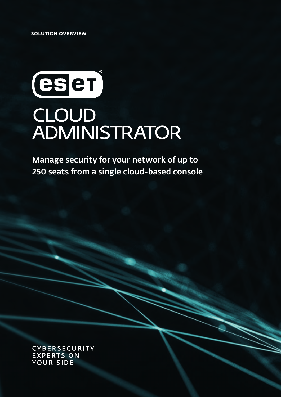**SOLUTION OVERVIEW**

# eser CLOUD<br>ADMINISTRATOR

Manage security for your network of up to 250 seats from a single cloud-based console

**CYBERSECURITY EXPERTS ON YOUR SIDE**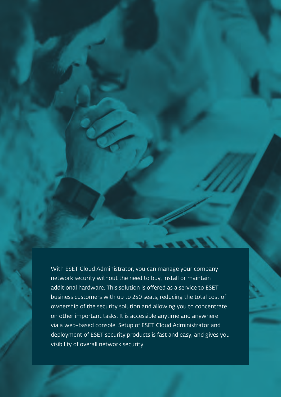With ESET Cloud Administrator, you can manage your company network security without the need to buy, install or maintain additional hardware. This solution is offered as a service to ESET business customers with up to 250 seats, reducing the total cost of ownership of the security solution and allowing you to concentrate on other important tasks. It is accessible anytime and anywhere via a web-based console. Setup of ESET Cloud Administrator and deployment of ESET security products is fast and easy, and gives you visibility of overall network security.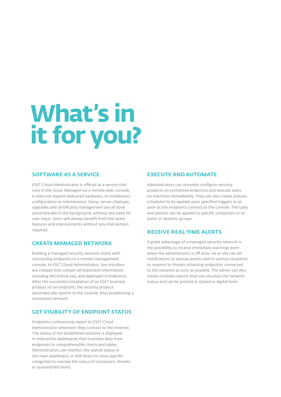## **What's in it for you?**

### **SOFTWARE AS A SERVICE**

ESET Cloud Administrator is offered as a service that runs in the cloud. Managed via a remote web-console, it does not require dedicated hardware, or installation, configuration or maintenance. Setup, server cleanups, upgrades and certificates management are all done automatically in the background, without any need for user input. Users will always benefit from the latest features and improvements without any intervention required.

### **CREATE MANAGED NETWORK**

Building a managed security network starts with connecting endpoints to a remote management console. In ESET Cloud Administrator, live installers are created that contain all important information, including the license key, and deployed to endpoints. After the successful installation of an ESET business product on an endpoint, the security product automatically reports to the console, thus establishing a monitored network.

### **GET VISIBILITY OF ENDPOINT STATUS**

Endpoints continuously report to ESET Cloud Administrator whenever they connect to the internet. The status of the established network is displayed in interactive dashboards that translate data from endpoints to comprehensible charts and tables. Administrators can monitor the overall status in the main dashboard, or drill down to more specific categories to oversee the status of computers, threats or quarantined items.

### **EXECUTE AND AUTOMATE**

Administrators can remotely configure security products on connected endpoints and execute tasks on machines immediately. They can also create policies scheduled to be applied upon specified triggers or as soon as the endpoints connect to the console. The tasks and policies can be applied to specific computers or to static or dynamic groups.

### **RECEIVE REAL-TIME ALERTS**

A great advantage of a managed security network is the possibility to receive immediate warnings even when the administrator is off duty. He or she can set notifications to various events and to various recipients to respond to threats attacking endpoints connected to the network as soon as possible. The admin can also create multiple reports that can visualize the network status and can be printed or shared in digital form.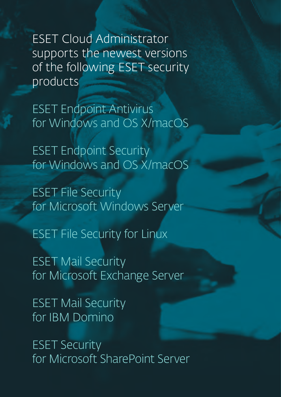ESET Cloud Administrator supports the newest versions of the following ESET security products

ESET Endpoint Antivirus for Windows and OS X/macOS

ESET Endpoint Security for Windows and OS X/macOS

ESET File Security for Microsoft Windows Server

ESET File Security for Linux

ESET Mail Security for Microsoft Exchange Server

ESET Mail Security for IBM Domino

ESET Security for Microsoft SharePoint Server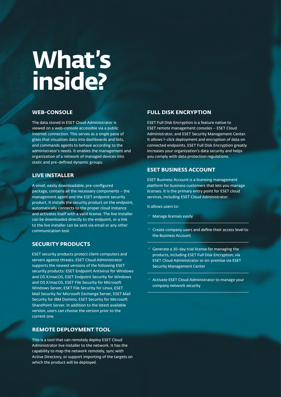### **What's inside?**

### **WEB-CONSOLE**

The data stored in ESET Cloud Administrator is viewed on a web-console accessible via a public internet connection. This serves as a single pane of glass that visualizes data into dashboards and lists, and commands agents to behave according to the administrator's needs. It enables the management and organization of a network of managed devices into static and pre-defined dynamic groups.

### **LIVE INSTALLER**

A small, easily downloadable, pre-configured package, contains all the necessary components – the management agent and the ESET endpoint security product. It installs the security product on the endpoint, automatically connects to the proper cloud instance and activates itself with a valid license. The live installer can be downloaded directly to the endpoint, or a link to the live installer can be sent via email or any other communication tool.

### **SECURITY PRODUCTS**

ESET security products protect client computers and servers against threats. ESET Cloud Administrator supports the newest versions of the following ESET security products: ESET Endpoint Antivirus for Windows and OS X/macOS, ESET Endpoint Security for Windows and OS X/macOS, ESET File Security for Microsoft Windows Server, ESET File Security for Linux, ESET Mail Security for Microsoft Exchange Server, ESET Mail Security for IBM Domino, ESET Security for Microsoft SharePoint Server. In addition to the latest available version, users can choose the version prior to the current one.

### **REMOTE DEPLOYMENT TOOL**

This is a tool that can remotely deploy ESET Cloud Administrator live installer to the network. It has the capability to map the network remotely, sync with Active Directory, or support importing of the targets on which the product will be deployed.

### **FULL DISK ENCRYPTION**

ESET Full Disk Encryption is a feature native to ESET remote management consoles – ESET Cloud Administrator, and ESET Security Management Center. It allows 1-click deployment and encryption of data on connected endpoints. ESET Full Disk Encryption greatly increases your organization's data security and helps you comply with data protection regulations.

### **ESET BUSINESS ACCOUNT**

ESET Business Account is a licensing management platform for business customers that lets you manage licenses. It is the primary entry point for ESET cloud services, including ESET Cloud Administrator.

It allows users to:

- Manage licenses easily
- Create company users and define their access level to the Business Account
- Generate a 30-day trial license for managing the products, including ESET Full Disk Encryption, via ESET Cloud Administrator or on-premise via ESET Security Management Center
- Activate ESET Cloud Administrator to manage your company network security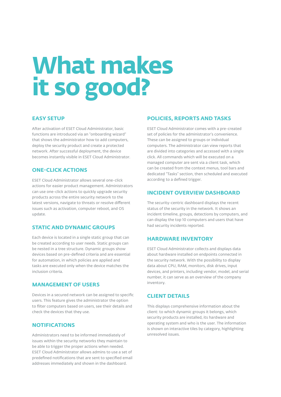### **What makes it so good?**

### **EASY SETUP**

After activation of ESET Cloud Administrator, basic functions are introduced via an "onboarding wizard" that shows the administrator how to add computers, deploy the security product and create a protected network. After successful deployment, the device becomes instantly visible in ESET Cloud Administrator.

### **ONE-CLICK ACTIONS**

ESET Cloud Administrator allows several one-click actions for easier product management. Administrators can use one-click actions to quickly upgrade security products across the entire security network to the latest versions, navigate to threats or resolve different issues such as activation, computer reboot, and OS update.

### **STATIC AND DYNAMIC GROUPS**

Each device is located in a single static group that can be created according to user needs. Static groups can be nested in a tree structure. Dynamic groups show devices based on pre-defined criteria and are essential for automation, in which policies are applied and tasks are executed only when the device matches the inclusion criteria.

#### **MANAGEMENT OF USERS**

Devices in a secured network can be assigned to specific users. This feature gives the administrator the option to filter computers based on users, see their details and check the devices that they use.

### **NOTIFICATIONS**

Administrators need to be informed immediately of issues within the security networks they maintain to be able to trigger the proper actions when needed. ESET Cloud Administrator allows admins to use a set of predefined notifications that are sent to specified email addresses immediately and shown in the dashboard.

### **POLICIES, REPORTS AND TASKS**

ESET Cloud Administrator comes with a pre-created set of policies for the administrator's convenience. These can be assigned to groups or individual computers. The administrator can view reports that are divided into categories and accessed with a single click. All commands which will be executed on a managed computer are sent via a client task, which can be created from the context menus, tool bars and dedicated "Tasks" section, then scheduled and executed according to a defined trigger.

### **INCIDENT OVERVIEW DASHBOARD**

The security-centric dashboard displays the recent status of the security in the network. It shows an incident timeline, groups, detections by computers, and can display the top 10 computers and users that have had security incidents reported.

### **HARDWARE INVENTORY**

ESET Cloud Administrator collects and displays data about hardware installed on endpoints connected in the security network. With the possibility to display data about CPU, RAM, monitors, disk drives, input devices, and printers, including vendor, model, and serial number, it can serve as an overview of the company inventory.

### **CLIENT DETAILS**

This displays comprehensive information about the client: to which dynamic groups it belongs, which security products are installed, its hardware and operating system and who is the user. The information is shown on interactive tiles by category, highlighting unresolved issues.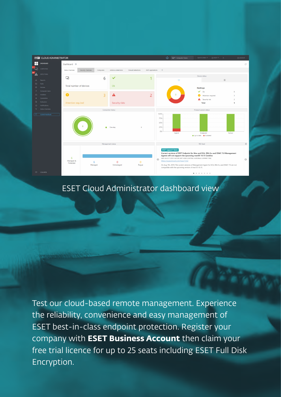

### ESET Cloud Administrator dashboard view

Test our cloud-based remote management. Experience the reliability, convenience and easy management of ESET best-in-class endpoint protection. Register your company with **ESET Business Account** then claim your free trial licence for up to 25 seats including ESET Full Disk Encryption.